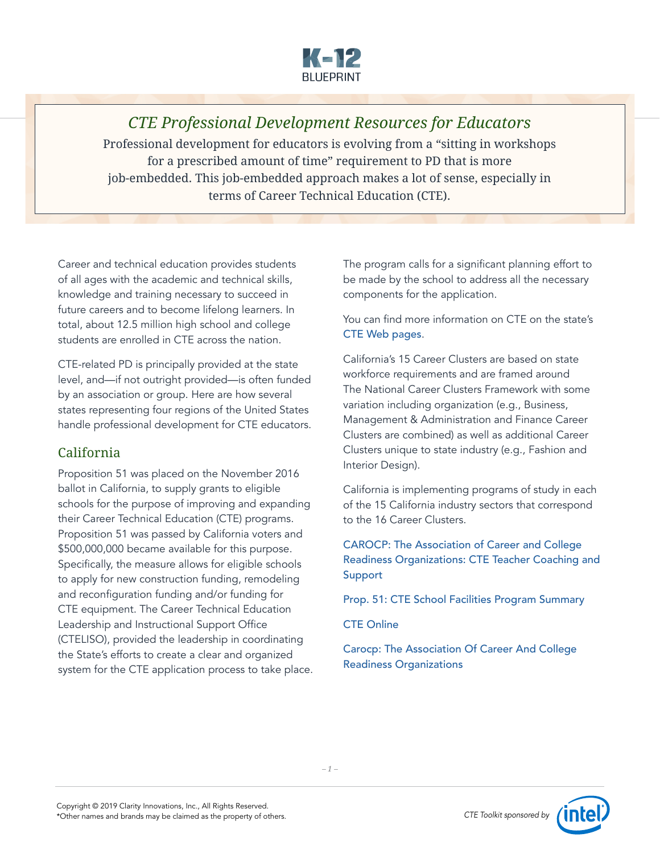

*CTE Professional Development Resources for Educators* Professional development for educators is evolving from a "sitting in workshops for a prescribed amount of time" requirement to PD that is more job-embedded. This job-embedded approach makes a lot of sense, especially in terms of Career Technical Education (CTE).

Career and technical education provides students of all ages with the academic and technical skills, knowledge and training necessary to succeed in future careers and to become lifelong learners. In total, about 12.5 million high school and college students are enrolled in CTE across the nation.

CTE-related PD is principally provided at the state level, and—if not outright provided—is often funded by an association or group. Here are how several states representing four regions of the United States handle professional development for CTE educators.

# California

Proposition 51 was placed on the November 2016 ballot in California, to supply grants to eligible schools for the purpose of improving and expanding their Career Technical Education (CTE) programs. Proposition 51 was passed by California voters and \$500,000,000 became available for this purpose. Specifically, the measure allows for eligible schools to apply for new construction funding, remodeling and reconfiguration funding and/or funding for CTE equipment. The Career Technical Education Leadership and Instructional Support Office (CTELISO), provided the leadership in coordinating the State's efforts to create a clear and organized system for the CTE application process to take place. The program calls for a significant planning effort to be made by the school to address all the necessary components for the application.

You can find more information on CTE on the state's [CTE Web pages](https://www.cde.ca.gov/ci/ct/gi/).

California's 15 Career Clusters are based on state workforce requirements and are framed around The National Career Clusters Framework with some variation including organization (e.g., Business, Management & Administration and Finance Career Clusters are combined) as well as additional Career Clusters unique to state industry (e.g., Fashion and Interior Design).

California is implementing programs of study in each of the 15 California industry sectors that correspond to the 16 Career Clusters.

[CAROCP: The Association of Career and College](http://www.rocpinspire.org/cte_teachers.asp)  [Readiness Organizations: CTE Teacher Coaching and](http://www.rocpinspire.org/cte_teachers.asp)  [Support](http://www.rocpinspire.org/cte_teachers.asp)

[Prop. 51: CTE School Facilities Program Summary](https://www.cde.ca.gov/ci/ct/gi/prop1d07summary.asp)

[CTE Online](https://docs.google.com/document/d/1KZOjN4Txn3v4OyLlsdWok70HTfNe-bk1TksEITUWhRo/edit)

[Carocp: The Association Of Career And College](http://www.rocpinspire.org/cte_teachers.asp)  [Readiness Organizations](http://www.rocpinspire.org/cte_teachers.asp)

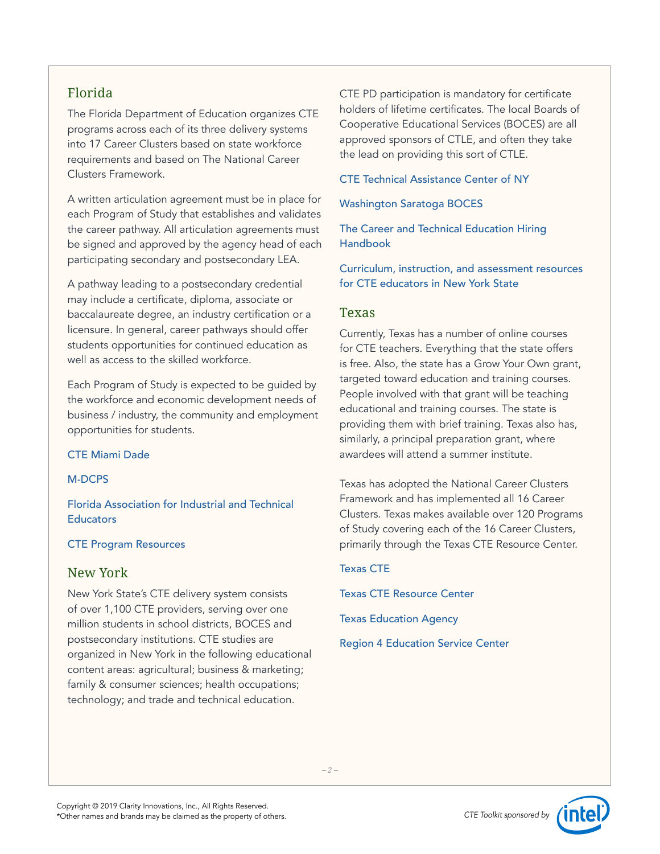## Florida

The Florida Department of Education organizes CTE programs across each of its three delivery systems into 17 Career Clusters based on state workforce requirements and based on The National Career Clusters Framework.

A written articulation agreement must be in place for each Program of Study that establishes and validates the career pathway. All articulation agreements must be signed and approved by the agency head of each participating secondary and postsecondary LEA.

A pathway leading to a postsecondary credential may include a certificate, diploma, associate or baccalaureate degree, an industry certification or a licensure. In general, career pathways should offer students opportunities for continued education as well as access to the skilled workforce.

Each Program of Study is expected to be guided by the workforce and economic development needs of business / industry, the community and employment opportunities for students.

### [CTE Miami Dade](https://www.ctemiami.net/profdev/)

### [M-DCPS](http://dcte.dadeschools.net/professionaldev.html)

[Florida Association for Industrial and Technical](http://www.faite.us/)  **[Educators](http://www.faite.us/)** 

### [CTE Program Resources](http://www.fldoe.org/academics/career-adult-edu/career-tech-edu/program-resources.stml)

## New York

New York State's CTE delivery system consists of over 1,100 CTE providers, serving over one million students in school districts, BOCES and postsecondary institutions. CTE studies are organized in New York in the following educational content areas: agricultural; business & marketing; family & consumer sciences; health occupations; technology; and trade and technical education.

CTE PD participation is mandatory for certificate holders of lifetime certificates. The local Boards of Cooperative Educational Services (BOCES) are all approved sponsors of CTLE, and often they take the lead on providing this sort of CTLE.

### [CTE Technical Assistance Center of NY](https://nyctecenter.org/development)

[Washington Saratoga BOCES](https://www.wswheboces.org/page/for-ctc-teachers)

[The Career and Technical Education Hiring](http://teachnyc.net/assets/Fall_2018_CTE_Handbook.pdf)  [Handbook](http://teachnyc.net/assets/Fall_2018_CTE_Handbook.pdf)

[Curriculum, instruction, and assessment resources](https://nyctecenter.org/planning/curriculum-resources)  [for CTE educators in New York State](https://nyctecenter.org/planning/curriculum-resources)

## Texas

Currently, Texas has a number of online courses for CTE teachers. Everything that the state offers is free. Also, the state has a Grow Your Own grant, targeted toward education and training courses. People involved with that grant will be teaching educational and training courses. The state is providing them with brief training. Texas also has, similarly, a principal preparation grant, where awardees will attend a summer institute.

Texas has adopted the National Career Clusters Framework and has implemented all 16 Career Clusters. Texas makes available over 120 Programs of Study covering each of the 16 Career Clusters, primarily through the Texas CTE Resource Center.

### [Texas CTE](https://www.txcte.org/resource/professional-development)

[Texas CTE Resource Center](https://cte.tamucc.edu/)

[Texas Education Agency](https://tea.texas.gov/Texas_Educators/Preparation_and_Continuing_Education/Continuing_Professional_Education_(CPE)/Professional_Development/)

[Region 4 Education Service Center](https://www.esc4.net/cte)